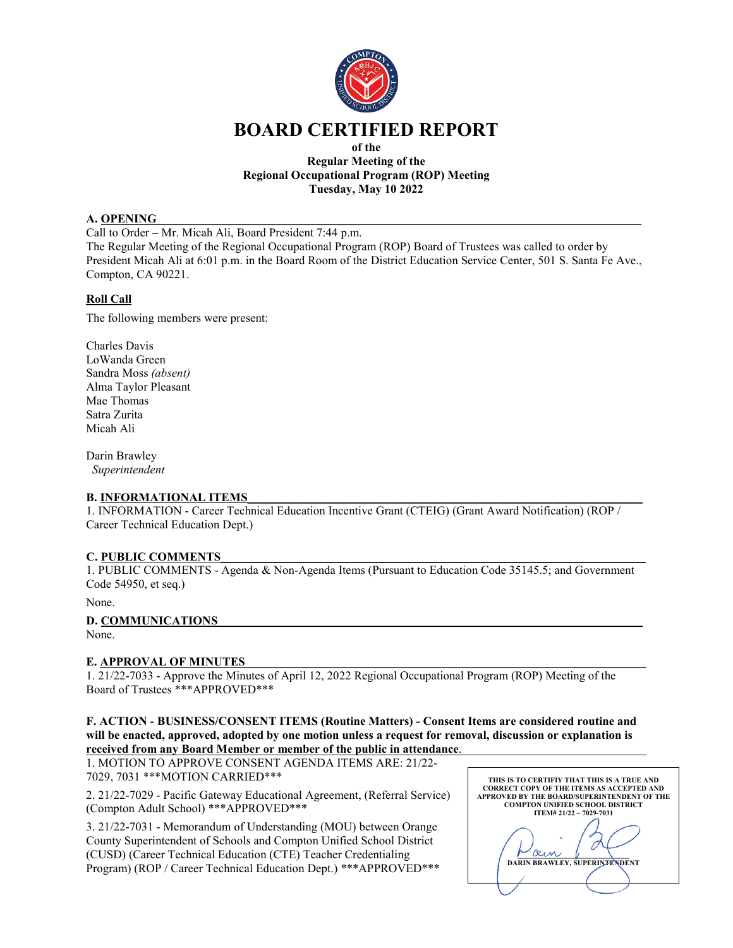

# **BOARD CERTIFIED REPORT**

#### **of the Regular Meeting of the Regional Occupational Program (ROP) Meeting Tuesday, May 10 2022**

#### **A. OPENING**

Call to Order – Mr. Micah Ali, Board President 7:44 p.m. The Regular Meeting of the Regional Occupational Program (ROP) Board of Trustees was called to order by President Micah Ali at 6:01 p.m. in the Board Room of the District Education Service Center, 501 S. Santa Fe Ave., Compton, CA 90221.

# **Roll Call**

The following members were present:

Charles Davis LoWanda Green Sandra Moss *(absent)* Alma Taylor Pleasant Mae Thomas Satra Zurita Micah Ali

Darin Brawley *Superintendent*

# **B. INFORMATIONAL ITEMS**

1. INFORMATION - Career Technical Education Incentive Grant (CTEIG) (Grant Award Notification) (ROP / Career Technical Education Dept.)

# **C. PUBLIC COMMENTS**\_\_\_\_\_\_\_\_\_\_\_\_\_\_\_\_\_\_\_\_\_\_\_\_\_\_\_\_\_\_\_\_\_\_\_\_\_\_\_\_\_\_\_\_\_\_\_\_\_\_\_\_\_\_\_\_\_\_\_\_\_\_\_\_\_\_\_\_\_\_\_

1. PUBLIC COMMENTS - Agenda & Non-Agenda Items (Pursuant to Education Code 35145.5; and Government Code 54950, et seq.)

None.

# **D. COMMUNICATIONS**

None.

# **E. APPROVAL OF MINUTES**

1. 21/22-7033 - Approve the Minutes of April 12, 2022 Regional Occupational Program (ROP) Meeting of the Board of Trustees \*\*\*APPROVED\*\*\*

#### **F. ACTION - BUSINESS/CONSENT ITEMS (Routine Matters) - Consent Items are considered routine and will be enacted, approved, adopted by one motion unless a request for removal, discussion or explanation is received from any Board Member or member of the public in attendance**.

1. MOTION TO APPROVE CONSENT AGENDA ITEMS ARE: 21/22- 7029, 7031 \*\*\*MOTION CARRIED\*\*\*

2. 21/22-7029 - Pacific Gateway Educational Agreement, (Referral Service) (Compton Adult School) \*\*\*APPROVED\*\*\*

3. 21/22-7031 - Memorandum of Understanding (MOU) between Orange County Superintendent of Schools and Compton Unified School District (CUSD) (Career Technical Education (CTE) Teacher Credentialing Program) (ROP / Career Technical Education Dept.) \*\*\*APPROVED\*\*\*

| THIS IS TO CERTIFIY THAT THIS IS A TRUE AND<br><b>CORRECT COPY OF THE ITEMS AS ACCEPTED AND</b><br>APPROVED BY THE BOARD/SUPERINTENDENT OF THE<br><b>COMPTON UNIFIED SCHOOL DISTRICT</b> |
|------------------------------------------------------------------------------------------------------------------------------------------------------------------------------------------|
| ITEM# 21/22 - 7029-7031                                                                                                                                                                  |
| $x_{\ell}$<br><b>DARIN BRAWLEY, SUPERINTENDENT</b>                                                                                                                                       |
|                                                                                                                                                                                          |
|                                                                                                                                                                                          |